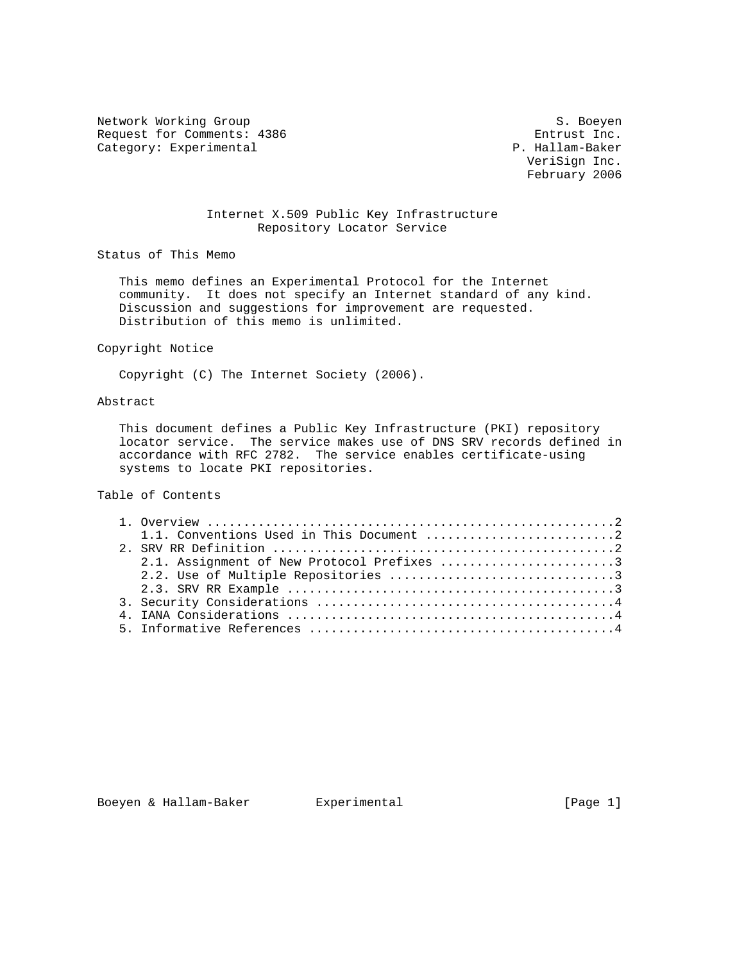Network Working Group S. Boeyen Request for Comments: 4386 Entrust Inc.<br>
Category: Experimental P. Hallam-Baker Category: Experimental

 VeriSign Inc. February 2006

## Internet X.509 Public Key Infrastructure Repository Locator Service

Status of This Memo

 This memo defines an Experimental Protocol for the Internet community. It does not specify an Internet standard of any kind. Discussion and suggestions for improvement are requested. Distribution of this memo is unlimited.

### Copyright Notice

Copyright (C) The Internet Society (2006).

## Abstract

 This document defines a Public Key Infrastructure (PKI) repository locator service. The service makes use of DNS SRV records defined in accordance with RFC 2782. The service enables certificate-using systems to locate PKI repositories.

# Table of Contents

|  | 2.1. Assignment of New Protocol Prefixes 3 |  |
|--|--------------------------------------------|--|
|  |                                            |  |
|  |                                            |  |
|  |                                            |  |
|  |                                            |  |
|  |                                            |  |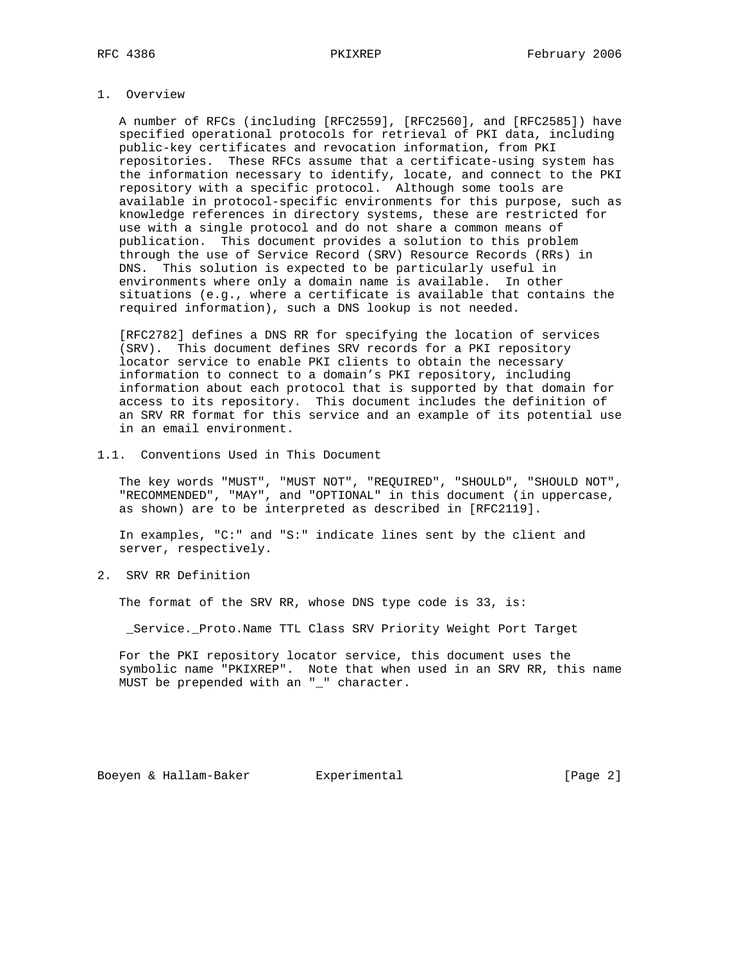## 1. Overview

 A number of RFCs (including [RFC2559], [RFC2560], and [RFC2585]) have specified operational protocols for retrieval of PKI data, including public-key certificates and revocation information, from PKI repositories. These RFCs assume that a certificate-using system has the information necessary to identify, locate, and connect to the PKI repository with a specific protocol. Although some tools are available in protocol-specific environments for this purpose, such as knowledge references in directory systems, these are restricted for use with a single protocol and do not share a common means of publication. This document provides a solution to this problem through the use of Service Record (SRV) Resource Records (RRs) in DNS. This solution is expected to be particularly useful in environments where only a domain name is available. In other situations (e.g., where a certificate is available that contains the required information), such a DNS lookup is not needed.

 [RFC2782] defines a DNS RR for specifying the location of services (SRV). This document defines SRV records for a PKI repository locator service to enable PKI clients to obtain the necessary information to connect to a domain's PKI repository, including information about each protocol that is supported by that domain for access to its repository. This document includes the definition of an SRV RR format for this service and an example of its potential use in an email environment.

### 1.1. Conventions Used in This Document

 The key words "MUST", "MUST NOT", "REQUIRED", "SHOULD", "SHOULD NOT", "RECOMMENDED", "MAY", and "OPTIONAL" in this document (in uppercase, as shown) are to be interpreted as described in [RFC2119].

 In examples, "C:" and "S:" indicate lines sent by the client and server, respectively.

2. SRV RR Definition

The format of the SRV RR, whose DNS type code is 33, is:

\_Service.\_Proto.Name TTL Class SRV Priority Weight Port Target

 For the PKI repository locator service, this document uses the symbolic name "PKIXREP". Note that when used in an SRV RR, this name MUST be prepended with an "\_" character.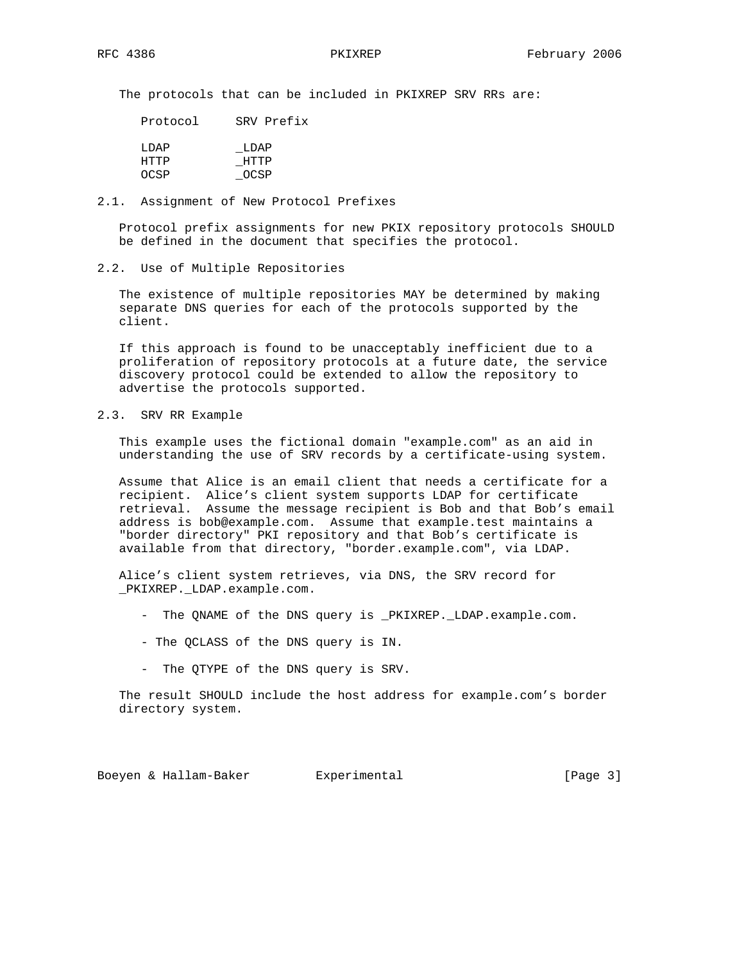The protocols that can be included in PKIXREP SRV RRs are:

| Protocol      | SRV Prefix   |
|---------------|--------------|
| T.DAP<br>HTTP | LDAP<br>HTTP |
| OCSP          | OCSP         |

### 2.1. Assignment of New Protocol Prefixes

 Protocol prefix assignments for new PKIX repository protocols SHOULD be defined in the document that specifies the protocol.

### 2.2. Use of Multiple Repositories

 The existence of multiple repositories MAY be determined by making separate DNS queries for each of the protocols supported by the client.

 If this approach is found to be unacceptably inefficient due to a proliferation of repository protocols at a future date, the service discovery protocol could be extended to allow the repository to advertise the protocols supported.

# 2.3. SRV RR Example

 This example uses the fictional domain "example.com" as an aid in understanding the use of SRV records by a certificate-using system.

 Assume that Alice is an email client that needs a certificate for a recipient. Alice's client system supports LDAP for certificate retrieval. Assume the message recipient is Bob and that Bob's email address is bob@example.com. Assume that example.test maintains a "border directory" PKI repository and that Bob's certificate is available from that directory, "border.example.com", via LDAP.

 Alice's client system retrieves, via DNS, the SRV record for \_PKIXREP.\_LDAP.example.com.

- The QNAME of the DNS query is PKIXREP. LDAP.example.com.
- The QCLASS of the DNS query is IN.
- The QTYPE of the DNS query is SRV.

 The result SHOULD include the host address for example.com's border directory system.

Boeyen & Hallam-Baker Experimental [Page 3]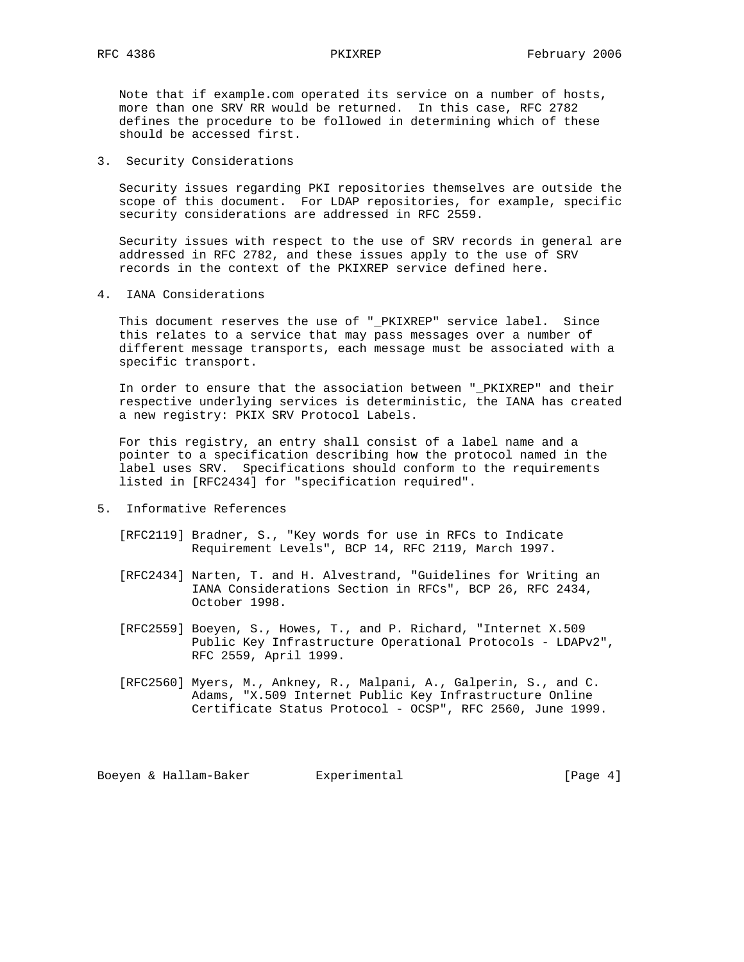Note that if example.com operated its service on a number of hosts, more than one SRV RR would be returned. In this case, RFC 2782 defines the procedure to be followed in determining which of these should be accessed first.

3. Security Considerations

 Security issues regarding PKI repositories themselves are outside the scope of this document. For LDAP repositories, for example, specific security considerations are addressed in RFC 2559.

 Security issues with respect to the use of SRV records in general are addressed in RFC 2782, and these issues apply to the use of SRV records in the context of the PKIXREP service defined here.

4. IANA Considerations

 This document reserves the use of "\_PKIXREP" service label. Since this relates to a service that may pass messages over a number of different message transports, each message must be associated with a specific transport.

 In order to ensure that the association between "\_PKIXREP" and their respective underlying services is deterministic, the IANA has created a new registry: PKIX SRV Protocol Labels.

 For this registry, an entry shall consist of a label name and a pointer to a specification describing how the protocol named in the label uses SRV. Specifications should conform to the requirements listed in [RFC2434] for "specification required".

- 5. Informative References
	- [RFC2119] Bradner, S., "Key words for use in RFCs to Indicate Requirement Levels", BCP 14, RFC 2119, March 1997.
	- [RFC2434] Narten, T. and H. Alvestrand, "Guidelines for Writing an IANA Considerations Section in RFCs", BCP 26, RFC 2434, October 1998.
	- [RFC2559] Boeyen, S., Howes, T., and P. Richard, "Internet X.509 Public Key Infrastructure Operational Protocols - LDAPv2", RFC 2559, April 1999.
	- [RFC2560] Myers, M., Ankney, R., Malpani, A., Galperin, S., and C. Adams, "X.509 Internet Public Key Infrastructure Online Certificate Status Protocol - OCSP", RFC 2560, June 1999.

Boeyen & Hallam-Baker Experimental Formula (Page 4)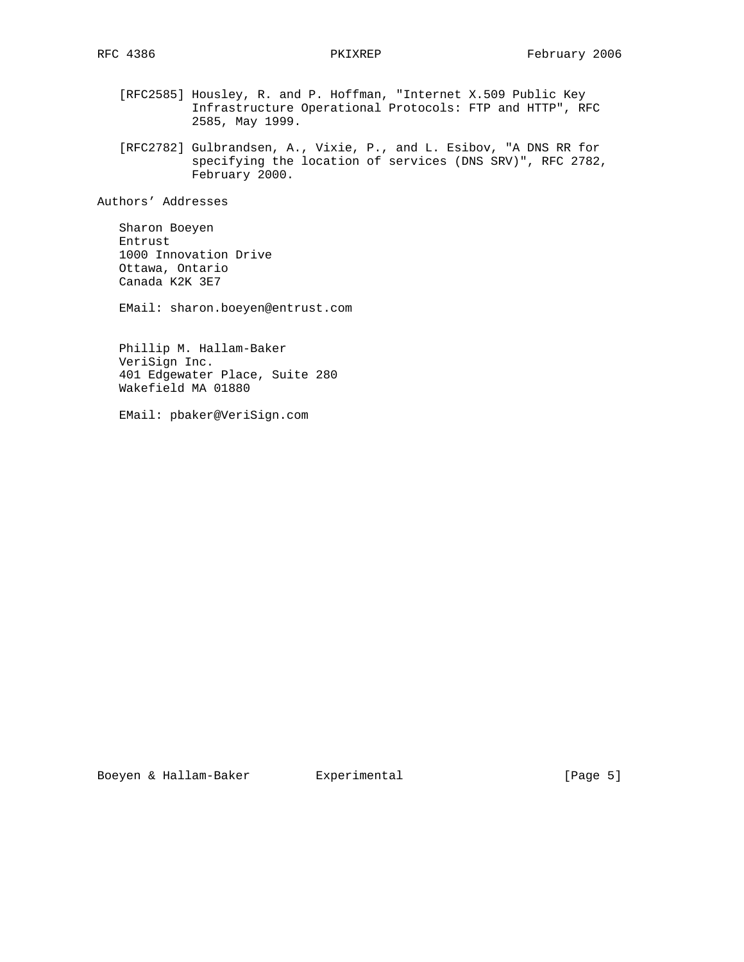- [RFC2585] Housley, R. and P. Hoffman, "Internet X.509 Public Key Infrastructure Operational Protocols: FTP and HTTP", RFC 2585, May 1999.
- [RFC2782] Gulbrandsen, A., Vixie, P., and L. Esibov, "A DNS RR for specifying the location of services (DNS SRV)", RFC 2782, February 2000.

Authors' Addresses

 Sharon Boeyen Entrust 1000 Innovation Drive Ottawa, Ontario Canada K2K 3E7

EMail: sharon.boeyen@entrust.com

 Phillip M. Hallam-Baker VeriSign Inc. 401 Edgewater Place, Suite 280 Wakefield MA 01880

EMail: pbaker@VeriSign.com

Boeyen & Hallam-Baker Experimental [Page 5]